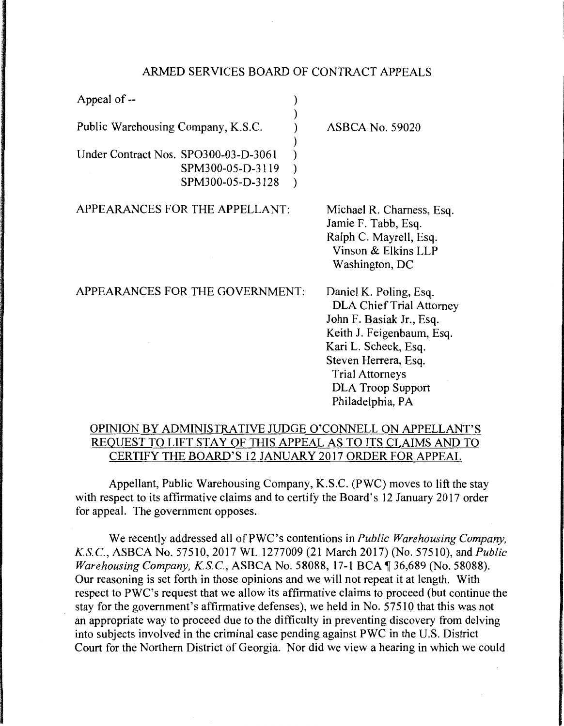## ARMED SERVICES BOARD OF CONTRACT APPEALS

| Appeal of --                                                                 |                                                                                                                                                                                                                                              |
|------------------------------------------------------------------------------|----------------------------------------------------------------------------------------------------------------------------------------------------------------------------------------------------------------------------------------------|
| Public Warehousing Company, K.S.C.                                           | <b>ASBCA No. 59020</b>                                                                                                                                                                                                                       |
| Under Contract Nos. SPO300-03-D-3061<br>SPM300-05-D-3119<br>SPM300-05-D-3128 |                                                                                                                                                                                                                                              |
| APPEARANCES FOR THE APPELLANT:                                               | Michael R. Charness, Esq.<br>Jamie F. Tabb, Esq.<br>Ralph C. Mayrell, Esq.<br>Vinson & Elkins LLP<br>Washington, DC                                                                                                                          |
| APPEARANCES FOR THE GOVERNMENT:                                              | Daniel K. Poling, Esq.<br><b>DLA Chief Trial Attorney</b><br>John F. Basiak Jr., Esq.<br>Keith J. Feigenbaum, Esq.<br>Kari L. Scheck, Esq.<br>Steven Herrera, Esq.<br><b>Trial Attorneys</b><br><b>DLA Troop Support</b><br>Philadelphia, PA |

## OPINION BY ADMINISTRATIVE JUDGE O'CONNELL ON APPELLANT'S REQUEST TO LIFT STAY OF THIS APPEAL AS TO ITS CLAIMS AND TO CERTIFY THE BOARD'S 12 JANUARY 2017 ORDER FOR APPEAL

Appellant, Public Warehousing Company, K.S.C. (PWC) moves to lift the stay with respect to its affirmative claims and to certify the Board's 12 January 2017 order for appeal. The government opposes.

We recently addressed all of PWC's contentions in *Public Warehousing Company, K.S.C., ASBCA No. 57510, 2017 WL 1277009 (21 March 2017) (No. 57510), and Public Warehousing Company, K.S.C., ASBCA No.* 58088, 17-1 BCA ¶ 36,689 (No. 58088). Our reasoning is set forth in those opinions and we will not repeat it at length. With respect to PWC's request that we allow its affirmative claims to proceed (but continue the stay for the government's affirmative defenses), we held in No. 57510 that this was not an appropriate way to proceed due to the difficulty in preventing discovery from delving into subjects involved in the criminal case pending against PWC in the U.S. District Court for the Northern District of Georgia. Nor did we view a hearing in which we could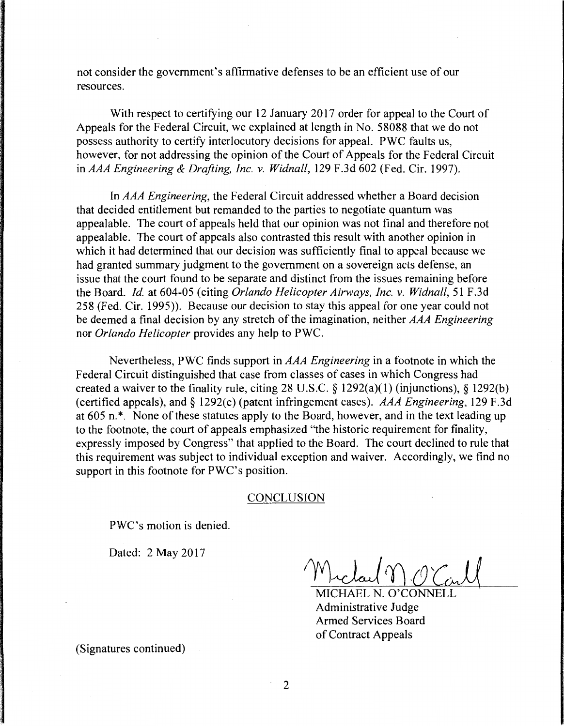not consider the government's affirmative defenses to be an efficient use of our resources.

With respect to certifying our 12 January 2017 order for appeal to the Court of Appeals for the Federal Circuit, we explained at length in No. 58088 that we do not possess authority to certify interlocutory decisions for appeal. PWC faults us, however, for not addressing the opinion of the Court of Appeals for the Federal Circuit in *AAA Engineering* & *Drafting, Inc. v. Widnall,* 129 F.3d 602 (Fed. Cir. 1997).

In *AAA Engineering,* the Federal Circuit addressed whether a Board decision that decided entitlement but remanded to the parties to negotiate quantum was appealable. The court of appeals held that our opinion was not final and therefore not appealable. The court of appeals also contrasted this result with another opinion in which it had determined that our decision was sufficiently final to appeal because we had granted summary judgment to the government on a sovereign acts defense, an issue that the court found to be separate and distinct from the issues remaining before the Board. *Id.* at 604-05 (citing *Orlando Helicopter Airways, Inc. v. Widnall,* 51 F .3d 258 (Fed. Cir. 1995)). Because our decision to stay this appeal for one year could not be deemed a final decision by any stretch of the imagination, neither *AAA Engineering*  nor *Orlando Helicopter* provides any help to PWC.

Nevertheless, PWC finds support in *AAA Engineering* in a footnote in which the Federal Circuit distinguished that case from classes of cases in which Congress had created a waiver to the finality rule, citing 28 U.S.C. § 1292(a)(1) (injunctions), § 1292(b) (certified appeals), and § 1292(c) (patent infringement cases). *AAA Engineering*, 129 F.3d at 605 n.\*. None of these statutes apply to the Board, however, and in the text leading up to the footnote, the court of appeals emphasized '"the historic requirement for finality, expressly imposed by Congress" that applied to the Board. The court declined to rule that this requirement was subject to individual exception and waiver. Accordingly, we find no support in this footnote for PWC's position.

## CONCLUSION

PWC's motion is denied.

Dated: 2 May 2017

MICHAEL N. O'CONNELL Administrative Judge Armed Services Board of Contract Appeals

(Signatures continued)

2